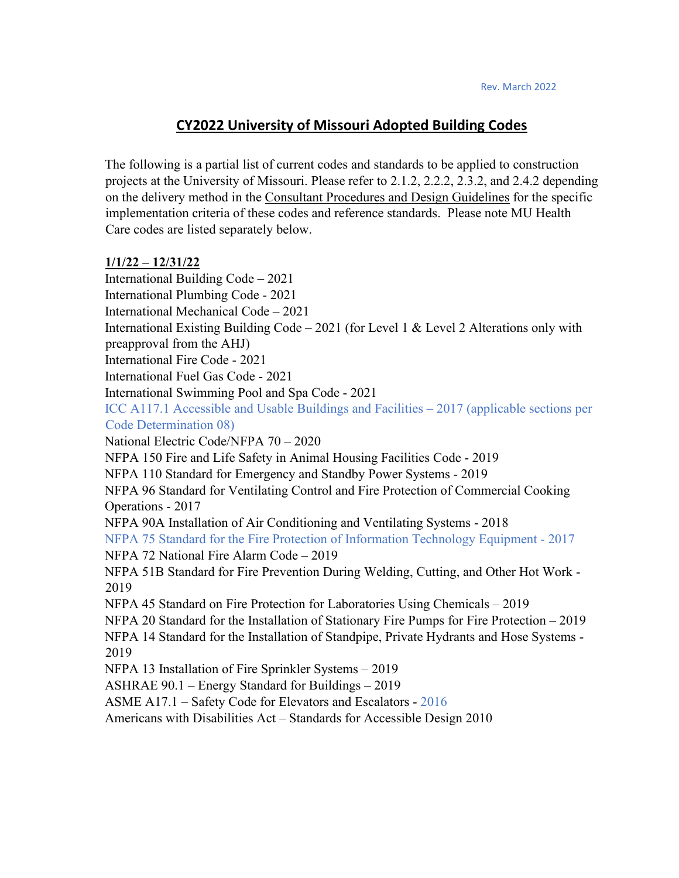## **CY2022 University of Missouri Adopted Building Codes**

The following is a partial list of current codes and standards to be applied to construction projects at the University of Missouri. Please refer to 2.1.2, 2.2.2, 2.3.2, and 2.4.2 depending on the delivery method in the Consultant Procedures and Design Guidelines for the specific implementation criteria of these codes and reference standards. Please note MU Health Care codes are listed separately below.

## **1/1/22 – 12/31/22**

International Building Code – 2021 International Plumbing Code - 2021 International Mechanical Code – 2021 International Existing Building Code – 2021 (for Level 1 & Level 2 Alterations only with preapproval from the AHJ) International Fire Code - 2021 International Fuel Gas Code - 2021 International Swimming Pool and Spa Code - 2021 ICC A117.1 Accessible and Usable Buildings and Facilities – 2017 (applicable sections per Code Determination 08) National Electric Code/NFPA 70 – 2020 NFPA 150 Fire and Life Safety in Animal Housing Facilities Code - 2019 NFPA 110 Standard for Emergency and Standby Power Systems - 2019 NFPA 96 Standard for Ventilating Control and Fire Protection of Commercial Cooking Operations - 2017 NFPA 90A Installation of Air Conditioning and Ventilating Systems - 2018 NFPA 75 Standard for the Fire Protection of Information Technology Equipment - 2017 NFPA 72 National Fire Alarm Code – 2019 NFPA 51B Standard for Fire Prevention During Welding, Cutting, and Other Hot Work - 2019 NFPA 45 Standard on Fire Protection for Laboratories Using Chemicals – 2019 NFPA 20 Standard for the Installation of Stationary Fire Pumps for Fire Protection – 2019 NFPA 14 Standard for the Installation of Standpipe, Private Hydrants and Hose Systems - 2019 NFPA 13 Installation of Fire Sprinkler Systems – 2019 ASHRAE 90.1 – Energy Standard for Buildings – 2019 ASME A17.1 – Safety Code for Elevators and Escalators - 2016 Americans with Disabilities Act – Standards for Accessible Design 2010